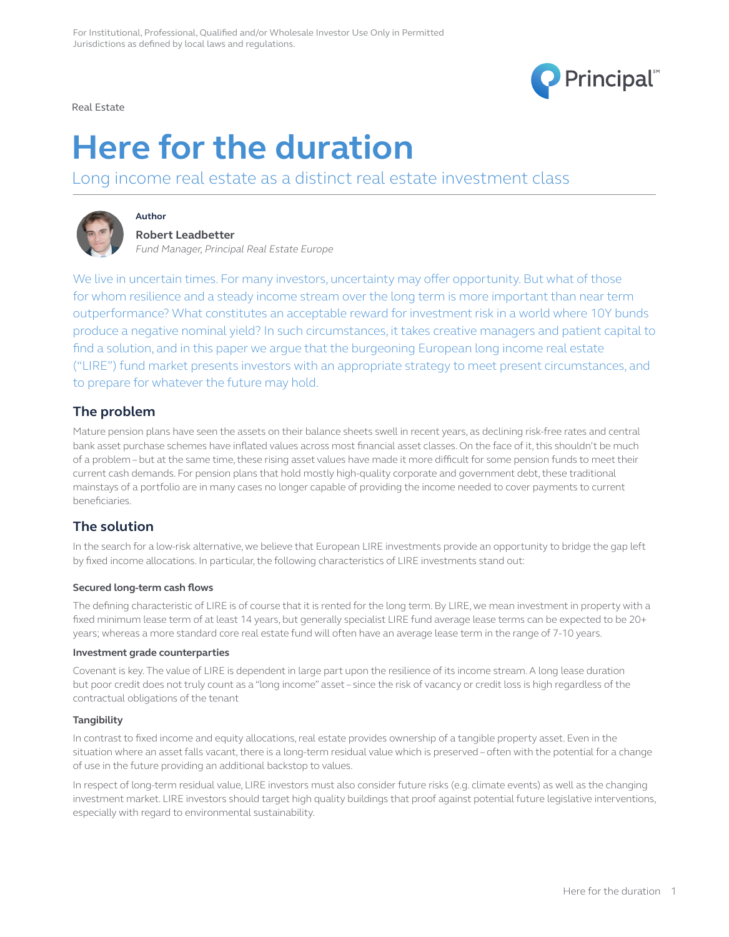

Real Estate

# **Here for the duration**

Long income real estate as a distinct real estate investment class



# **Robert Leadbetter**

**Author**

*Fund Manager, Principal Real Estate Europe*

We live in uncertain times. For many investors, uncertainty may offer opportunity. But what of those for whom resilience and a steady income stream over the long term is more important than near term outperformance? What constitutes an acceptable reward for investment risk in a world where 10Y bunds produce a negative nominal yield? In such circumstances, it takes creative managers and patient capital to find a solution, and in this paper we argue that the burgeoning European long income real estate ("LIRE") fund market presents investors with an appropriate strategy to meet present circumstances, and to prepare for whatever the future may hold.

## **The problem**

Mature pension plans have seen the assets on their balance sheets swell in recent years, as declining risk-free rates and central bank asset purchase schemes have inflated values across most financial asset classes. On the face of it, this shouldn't be much of a problem – but at the same time, these rising asset values have made it more difficult for some pension funds to meet their current cash demands. For pension plans that hold mostly high-quality corporate and government debt, these traditional mainstays of a portfolio are in many cases no longer capable of providing the income needed to cover payments to current beneficiaries.

## **The solution**

In the search for a low-risk alternative, we believe that European LIRE investments provide an opportunity to bridge the gap left by fixed income allocations. In particular, the following characteristics of LIRE investments stand out:

## **Secured long-term cash flows**

The defining characteristic of LIRE is of course that it is rented for the long term. By LIRE, we mean investment in property with a fixed minimum lease term of at least 14 years, but generally specialist LIRE fund average lease terms can be expected to be 20+ years; whereas a more standard core real estate fund will often have an average lease term in the range of 7-10 years.

#### **Investment grade counterparties**

Covenant is key. The value of LIRE is dependent in large part upon the resilience of its income stream. A long lease duration but poor credit does not truly count as a "long income" asset – since the risk of vacancy or credit loss is high regardless of the contractual obligations of the tenant

## **Tangibility**

In contrast to fixed income and equity allocations, real estate provides ownership of a tangible property asset. Even in the situation where an asset falls vacant, there is a long-term residual value which is preserved – often with the potential for a change of use in the future providing an additional backstop to values.

In respect of long-term residual value, LIRE investors must also consider future risks (e.g. climate events) as well as the changing investment market. LIRE investors should target high quality buildings that proof against potential future legislative interventions, especially with regard to environmental sustainability.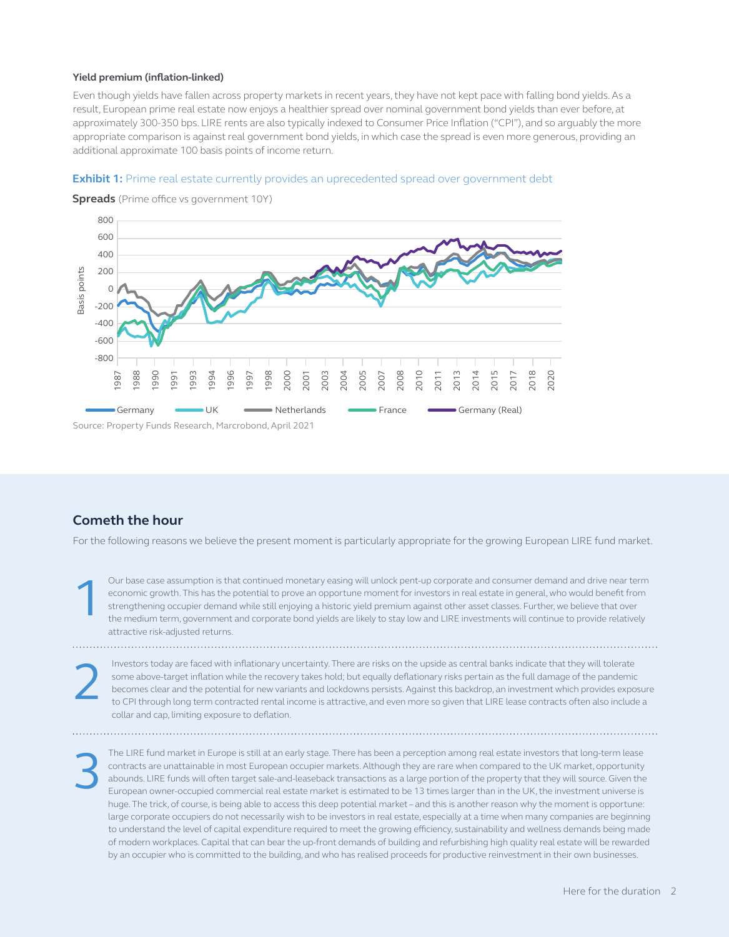#### **Yield premium (inflation-linked)**

Even though yields have fallen across property markets in recent years, they have not kept pace with falling bond yields. As a result, European prime real estate now enjoys a healthier spread over nominal government bond yields than ever before, at approximately 300-350 bps. LIRE rents are also typically indexed to Consumer Price Inflation ("CPI"), and so arguably the more appropriate comparison is against real government bond yields, in which case the spread is even more generous, providing an additional approximate 100 basis points of income return.

#### **Exhibit 1:** Prime real estate currently provides an uprecedented spread over government debt



**Spreads** (Prime office vs government 10Y)

Source: Property Funds Research, Marcrobond, April 2021

## **Cometh the hour**

2

For the following reasons we believe the present moment is particularly appropriate for the growing European LIRE fund market.

Our base case assumption is that continued monetary easing will unlock pent-up corporate and consumer demand and drive near term economic growth. This has the potential to prove an opportune moment for investors in real estate in general, who would benefit from strengthening occupier demand while still enjoying a historic yield premium against other asset classes. Further, we believe that over the medium term, government and corporate bond yields are likely to stay low and LIRE investments will continue to provide relatively attractive risk-adjusted returns. 1

Investors today are faced with inflationary uncertainty. There are risks on the upside as central banks indicate that they will tolerate some above-target inflation while the recovery takes hold; but equally deflationary risks pertain as the full damage of the pandemic becomes clear and the potential for new variants and lockdowns persists. Against this backdrop, an investment which provides exposure to CPI through long term contracted rental income is attractive, and even more so given that LIRE lease contracts often also include a collar and cap, limiting exposure to deflation.

The LIRE fund market in Europe is still at an early stage. There has been a perception among real estate investors that long-term lease contracts are unattainable in most European occupier markets. Although they are rare when compared to the UK market, opportunity abounds. LIRE funds will often target sale-and-leaseback transactions as a large portion of the property that they will source. Given the European owner-occupied commercial real estate market is estimated to be 13 times larger than in the UK, the investment universe is huge. The trick, of course, is being able to access this deep potential market – and this is another reason why the moment is opportune: large corporate occupiers do not necessarily wish to be investors in real estate, especially at a time when many companies are beginning to understand the level of capital expenditure required to meet the growing efficiency, sustainability and wellness demands being made of modern workplaces. Capital that can bear the up-front demands of building and refurbishing high quality real estate will be rewarded by an occupier who is committed to the building, and who has realised proceeds for productive reinvestment in their own businesses. 3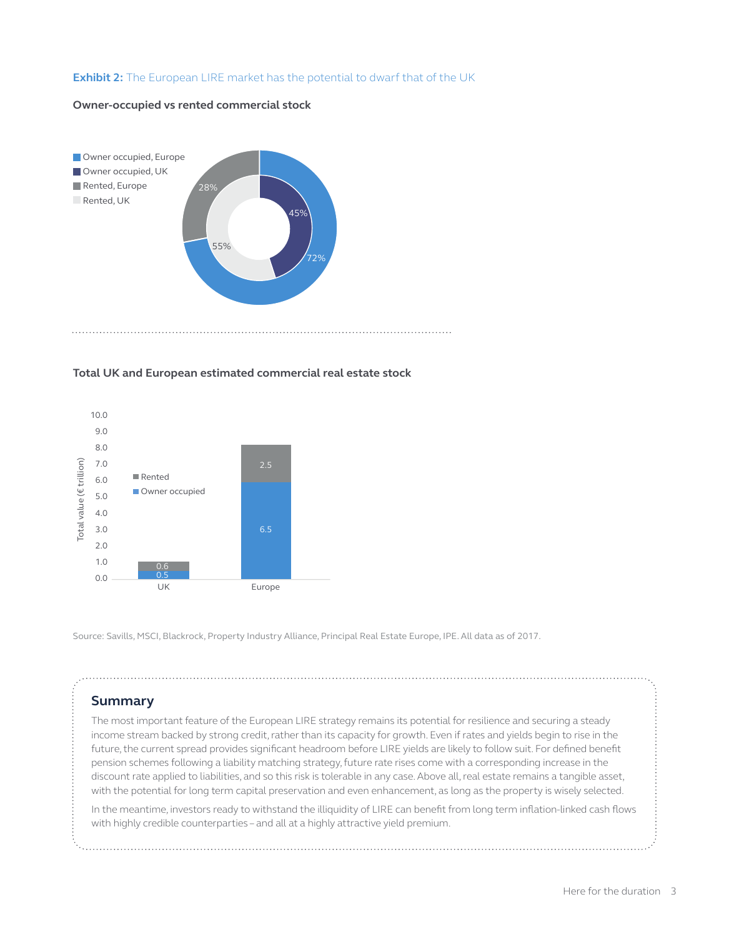#### **Exhibit 2:** The European LIRE market has the potential to dwarf that of the UK

#### **Owner-occupied vs rented commercial stock**



#### **Total UK and European estimated commercial real estate stock**



Source: Savills, MSCI, Blackrock, Property Industry Alliance, Principal Real Estate Europe, IPE. All data as of 2017.

## **Summary**

The most important feature of the European LIRE strategy remains its potential for resilience and securing a steady income stream backed by strong credit, rather than its capacity for growth. Even if rates and yields begin to rise in the future, the current spread provides significant headroom before LIRE yields are likely to follow suit. For defined benefit pension schemes following a liability matching strategy, future rate rises come with a corresponding increase in the discount rate applied to liabilities, and so this risk is tolerable in any case. Above all, real estate remains a tangible asset, with the potential for long term capital preservation and even enhancement, as long as the property is wisely selected.

In the meantime, investors ready to withstand the illiquidity of LIRE can benefit from long term inflation-linked cash flows with highly credible counterparties – and all at a highly attractive yield premium.